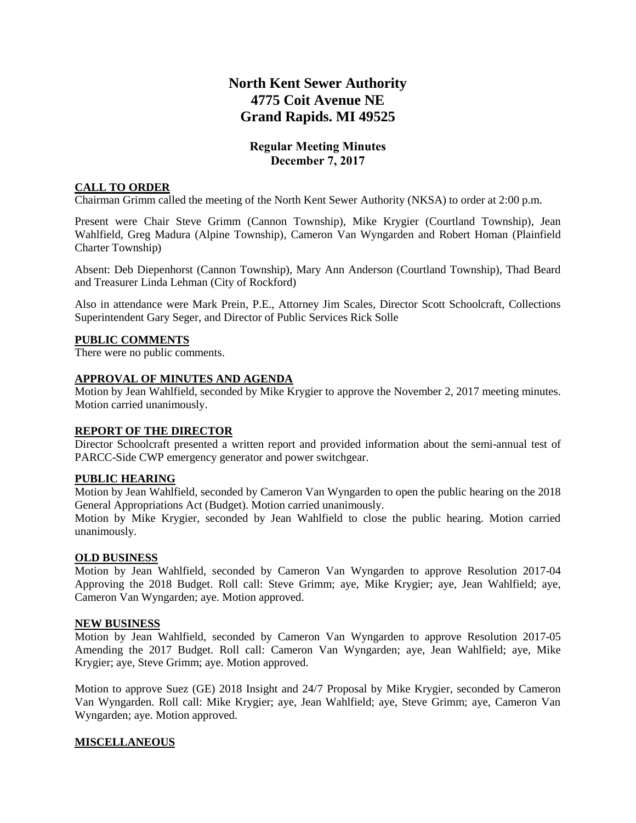# **North Kent Sewer Authority 4775 Coit Avenue NE Grand Rapids. MI 49525**

# **Regular Meeting Minutes December 7, 2017**

## **CALL TO ORDER**

Chairman Grimm called the meeting of the North Kent Sewer Authority (NKSA) to order at 2:00 p.m.

Present were Chair Steve Grimm (Cannon Township), Mike Krygier (Courtland Township), Jean Wahlfield, Greg Madura (Alpine Township), Cameron Van Wyngarden and Robert Homan (Plainfield Charter Township)

Absent: Deb Diepenhorst (Cannon Township), Mary Ann Anderson (Courtland Township), Thad Beard and Treasurer Linda Lehman (City of Rockford)

Also in attendance were Mark Prein, P.E., Attorney Jim Scales, Director Scott Schoolcraft, Collections Superintendent Gary Seger, and Director of Public Services Rick Solle

#### **PUBLIC COMMENTS**

There were no public comments.

# **APPROVAL OF MINUTES AND AGENDA**

Motion by Jean Wahlfield, seconded by Mike Krygier to approve the November 2, 2017 meeting minutes. Motion carried unanimously.

### **REPORT OF THE DIRECTOR**

Director Schoolcraft presented a written report and provided information about the semi-annual test of PARCC-Side CWP emergency generator and power switchgear.

#### **PUBLIC HEARING**

Motion by Jean Wahlfield, seconded by Cameron Van Wyngarden to open the public hearing on the 2018 General Appropriations Act (Budget). Motion carried unanimously.

Motion by Mike Krygier, seconded by Jean Wahlfield to close the public hearing. Motion carried unanimously.

#### **OLD BUSINESS**

Motion by Jean Wahlfield, seconded by Cameron Van Wyngarden to approve Resolution 2017-04 Approving the 2018 Budget. Roll call: Steve Grimm; aye, Mike Krygier; aye, Jean Wahlfield; aye, Cameron Van Wyngarden; aye. Motion approved.

#### **NEW BUSINESS**

Motion by Jean Wahlfield, seconded by Cameron Van Wyngarden to approve Resolution 2017-05 Amending the 2017 Budget. Roll call: Cameron Van Wyngarden; aye, Jean Wahlfield; aye, Mike Krygier; aye, Steve Grimm; aye. Motion approved.

Motion to approve Suez (GE) 2018 Insight and 24/7 Proposal by Mike Krygier, seconded by Cameron Van Wyngarden. Roll call: Mike Krygier; aye, Jean Wahlfield; aye, Steve Grimm; aye, Cameron Van Wyngarden; aye. Motion approved.

### **MISCELLANEOUS**